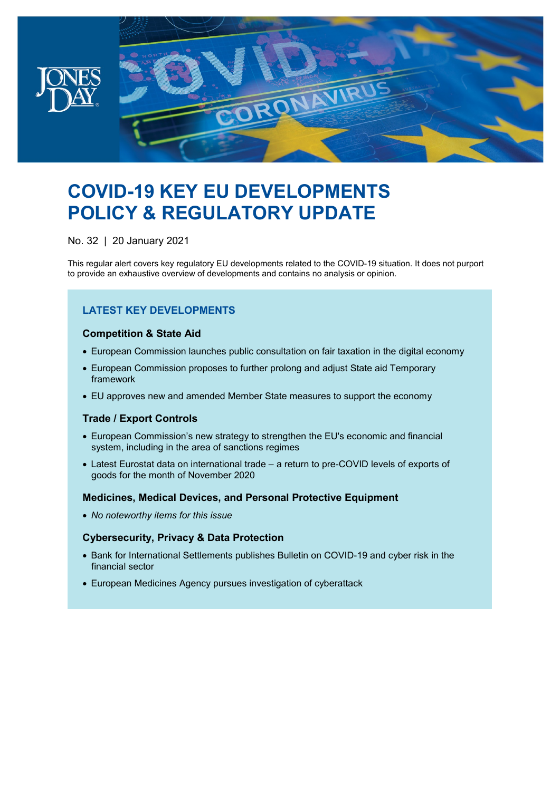

# **COVID-19 KEY EU DEVELOPMENTS POLICY & REGULATORY UPDATE**

No. 32 | 20 January 2021

This regular alert covers key regulatory EU developments related to the COVID-19 situation. It does not purport to provide an exhaustive overview of developments and contains no analysis or opinion.

### **LATEST KEY DEVELOPMENTS**

### **Competition & State Aid**

- European Commission launches public consultation on fair taxation in the digital economy
- European Commission proposes to further prolong and adjust State aid Temporary framework
- EU approves new and amended Member State measures to support the economy

### **Trade / Export Controls**

- European Commission's new strategy to strengthen the EU's economic and financial system, including in the area of sanctions regimes
- Latest Eurostat data on international trade a return to pre-COVID levels of exports of goods for the month of November 2020

### **Medicines, Medical Devices, and Personal Protective Equipment**

• *No noteworthy items for this issue*

### **Cybersecurity, Privacy & Data Protection**

- Bank for International Settlements publishes Bulletin on COVID-19 and cyber risk in the financial sector
- European Medicines Agency pursues investigation of cyberattack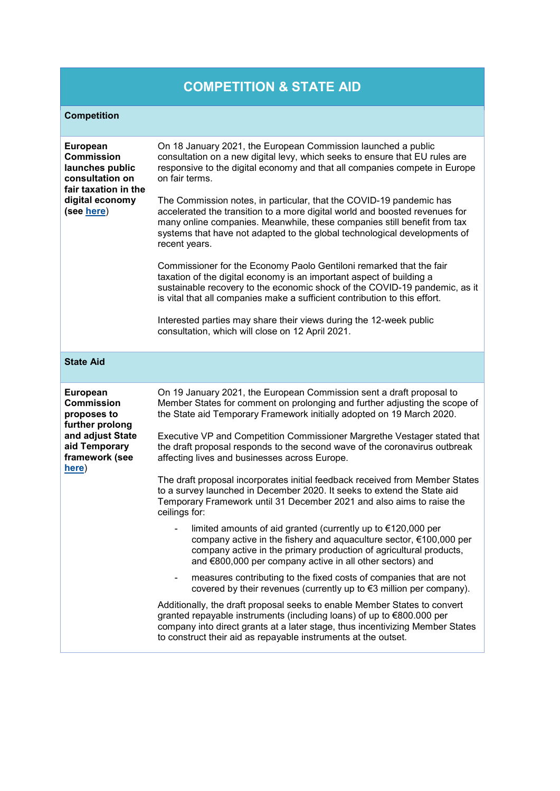## **COMPETITION & STATE AID**

### **Competition**

| <b>European</b><br><b>Commission</b><br>launches public<br>consultation on<br>fair taxation in the<br>digital economy<br>(see here)    | On 18 January 2021, the European Commission launched a public<br>consultation on a new digital levy, which seeks to ensure that EU rules are<br>responsive to the digital economy and that all companies compete in Europe<br>on fair terms.                                                                                 |
|----------------------------------------------------------------------------------------------------------------------------------------|------------------------------------------------------------------------------------------------------------------------------------------------------------------------------------------------------------------------------------------------------------------------------------------------------------------------------|
|                                                                                                                                        | The Commission notes, in particular, that the COVID-19 pandemic has<br>accelerated the transition to a more digital world and boosted revenues for<br>many online companies. Meanwhile, these companies still benefit from tax<br>systems that have not adapted to the global technological developments of<br>recent years. |
|                                                                                                                                        | Commissioner for the Economy Paolo Gentiloni remarked that the fair<br>taxation of the digital economy is an important aspect of building a<br>sustainable recovery to the economic shock of the COVID-19 pandemic, as it<br>is vital that all companies make a sufficient contribution to this effort.                      |
|                                                                                                                                        | Interested parties may share their views during the 12-week public<br>consultation, which will close on 12 April 2021.                                                                                                                                                                                                       |
| <b>State Aid</b>                                                                                                                       |                                                                                                                                                                                                                                                                                                                              |
| <b>European</b><br><b>Commission</b><br>proposes to<br>further prolong<br>and adjust State<br>aid Temporary<br>framework (see<br>here) | On 19 January 2021, the European Commission sent a draft proposal to<br>Member States for comment on prolonging and further adjusting the scope of<br>the State aid Temporary Framework initially adopted on 19 March 2020.                                                                                                  |
|                                                                                                                                        | Executive VP and Competition Commissioner Margrethe Vestager stated that<br>the draft proposal responds to the second wave of the coronavirus outbreak<br>affecting lives and businesses across Europe.                                                                                                                      |
|                                                                                                                                        | The draft proposal incorporates initial feedback received from Member States<br>to a survey launched in December 2020. It seeks to extend the State aid<br>Temporary Framework until 31 December 2021 and also aims to raise the<br>ceilings for:                                                                            |
|                                                                                                                                        | limited amounts of aid granted (currently up to €120,000 per<br>company active in the fishery and aquaculture sector, €100,000 per<br>company active in the primary production of agricultural products,<br>and €800,000 per company active in all other sectors) and                                                        |
|                                                                                                                                        | measures contributing to the fixed costs of companies that are not<br>covered by their revenues (currently up to €3 million per company).                                                                                                                                                                                    |
|                                                                                                                                        | Additionally, the draft proposal seeks to enable Member States to convert<br>granted repayable instruments (including loans) of up to €800.000 per<br>company into direct grants at a later stage, thus incentivizing Member States<br>to construct their aid as repayable instruments at the outset.                        |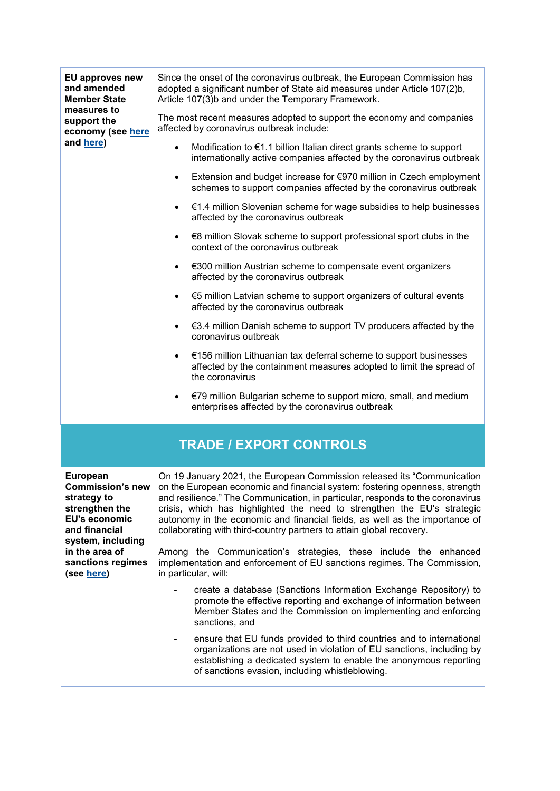| <b>EU approves new</b><br>and amended<br><b>Member State</b><br>measures to<br>support the<br>economy (see here<br>and here)                                        | Since the onset of the coronavirus outbreak, the European Commission has<br>adopted a significant number of State aid measures under Article 107(2)b,<br>Article 107(3)b and under the Temporary Framework.                                                                                                                                                                                                                                                                                        |
|---------------------------------------------------------------------------------------------------------------------------------------------------------------------|----------------------------------------------------------------------------------------------------------------------------------------------------------------------------------------------------------------------------------------------------------------------------------------------------------------------------------------------------------------------------------------------------------------------------------------------------------------------------------------------------|
|                                                                                                                                                                     | The most recent measures adopted to support the economy and companies<br>affected by coronavirus outbreak include:                                                                                                                                                                                                                                                                                                                                                                                 |
|                                                                                                                                                                     | Modification to €1.1 billion Italian direct grants scheme to support<br>$\bullet$<br>internationally active companies affected by the coronavirus outbreak                                                                                                                                                                                                                                                                                                                                         |
|                                                                                                                                                                     | Extension and budget increase for €970 million in Czech employment<br>$\bullet$<br>schemes to support companies affected by the coronavirus outbreak                                                                                                                                                                                                                                                                                                                                               |
|                                                                                                                                                                     | €1.4 million Slovenian scheme for wage subsidies to help businesses<br>$\bullet$<br>affected by the coronavirus outbreak                                                                                                                                                                                                                                                                                                                                                                           |
|                                                                                                                                                                     | €8 million Slovak scheme to support professional sport clubs in the<br>$\bullet$<br>context of the coronavirus outbreak                                                                                                                                                                                                                                                                                                                                                                            |
|                                                                                                                                                                     | €300 million Austrian scheme to compensate event organizers<br>٠<br>affected by the coronavirus outbreak                                                                                                                                                                                                                                                                                                                                                                                           |
|                                                                                                                                                                     | €5 million Latvian scheme to support organizers of cultural events<br>$\bullet$<br>affected by the coronavirus outbreak                                                                                                                                                                                                                                                                                                                                                                            |
|                                                                                                                                                                     | €3.4 million Danish scheme to support TV producers affected by the<br>٠<br>coronavirus outbreak                                                                                                                                                                                                                                                                                                                                                                                                    |
|                                                                                                                                                                     | €156 million Lithuanian tax deferral scheme to support businesses<br>$\bullet$<br>affected by the containment measures adopted to limit the spread of<br>the coronavirus                                                                                                                                                                                                                                                                                                                           |
|                                                                                                                                                                     | €79 million Bulgarian scheme to support micro, small, and medium<br>$\bullet$<br>enterprises affected by the coronavirus outbreak                                                                                                                                                                                                                                                                                                                                                                  |
|                                                                                                                                                                     | <b>TRADE / EXPORT CONTROLS</b>                                                                                                                                                                                                                                                                                                                                                                                                                                                                     |
| <b>European</b><br>strategy to<br>strengthen the<br><b>EU's economic</b><br>and financial<br>system, including<br>in the area of<br>sanctions regimes<br>(see here) | On 19 January 2021, the European Commission released its "Communication<br><b>Commission's new</b> on the European economic and financial system: fostering openness, strength<br>and resilience." The Communication, in particular, responds to the coronavirus<br>crisis, which has highlighted the need to strengthen the EU's strategic<br>autonomy in the economic and financial fields, as well as the importance of<br>collaborating with third-country partners to attain global recovery. |
|                                                                                                                                                                     | Among the Communication's strategies, these include the enhanced<br>implementation and enforcement of EU sanctions regimes. The Commission,<br>in particular, will:                                                                                                                                                                                                                                                                                                                                |
|                                                                                                                                                                     | create a database (Sanctions Information Exchange Repository) to<br>promote the effective reporting and exchange of information between<br>Member States and the Commission on implementing and enforcing<br>sanctions, and                                                                                                                                                                                                                                                                        |
|                                                                                                                                                                     | ensure that EU funds provided to third countries and to international<br>organizations are not used in violation of EU sanctions, including by<br>establishing a dedicated system to enable the anonymous reporting<br>of sanctions evasion, including whistleblowing.                                                                                                                                                                                                                             |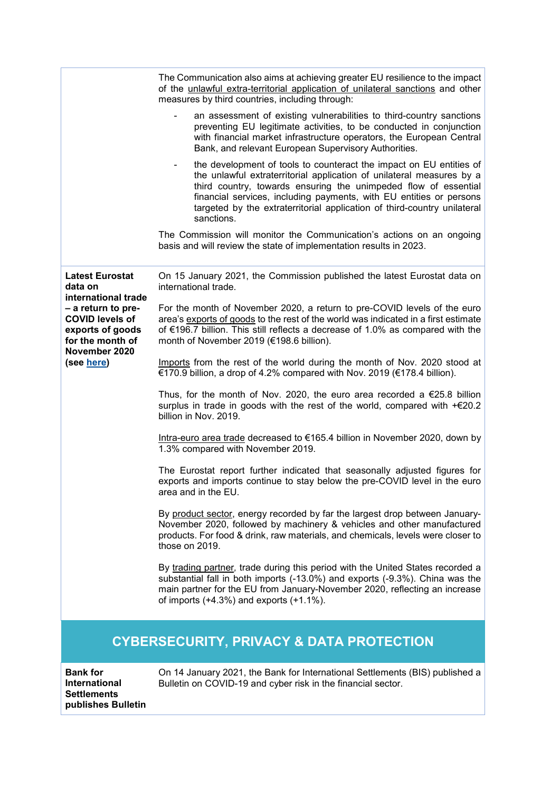|                                                                                                                                                                                 | The Communication also aims at achieving greater EU resilience to the impact<br>of the unlawful extra-territorial application of unilateral sanctions and other<br>measures by third countries, including through:                                                                                                                                                               |
|---------------------------------------------------------------------------------------------------------------------------------------------------------------------------------|----------------------------------------------------------------------------------------------------------------------------------------------------------------------------------------------------------------------------------------------------------------------------------------------------------------------------------------------------------------------------------|
|                                                                                                                                                                                 | an assessment of existing vulnerabilities to third-country sanctions<br>preventing EU legitimate activities, to be conducted in conjunction<br>with financial market infrastructure operators, the European Central<br>Bank, and relevant European Supervisory Authorities.                                                                                                      |
|                                                                                                                                                                                 | the development of tools to counteract the impact on EU entities of<br>the unlawful extraterritorial application of unilateral measures by a<br>third country, towards ensuring the unimpeded flow of essential<br>financial services, including payments, with EU entities or persons<br>targeted by the extraterritorial application of third-country unilateral<br>sanctions. |
|                                                                                                                                                                                 | The Commission will monitor the Communication's actions on an ongoing<br>basis and will review the state of implementation results in 2023.                                                                                                                                                                                                                                      |
| <b>Latest Eurostat</b><br>data on<br>international trade<br>- a return to pre-<br><b>COVID levels of</b><br>exports of goods<br>for the month of<br>November 2020<br>(see here) | On 15 January 2021, the Commission published the latest Eurostat data on<br>international trade.                                                                                                                                                                                                                                                                                 |
|                                                                                                                                                                                 | For the month of November 2020, a return to pre-COVID levels of the euro<br>area's exports of goods to the rest of the world was indicated in a first estimate<br>of €196.7 billion. This still reflects a decrease of 1.0% as compared with the<br>month of November 2019 (€198.6 billion).                                                                                     |
|                                                                                                                                                                                 | Imports from the rest of the world during the month of Nov. 2020 stood at<br>€170.9 billion, a drop of 4.2% compared with Nov. 2019 (€178.4 billion).                                                                                                                                                                                                                            |
|                                                                                                                                                                                 | Thus, for the month of Nov. 2020, the euro area recorded a $\epsilon$ 25.8 billion<br>surplus in trade in goods with the rest of the world, compared with +€20.2<br>billion in Nov. 2019.                                                                                                                                                                                        |
|                                                                                                                                                                                 | Intra-euro area trade decreased to €165.4 billion in November 2020, down by<br>1.3% compared with November 2019.                                                                                                                                                                                                                                                                 |
|                                                                                                                                                                                 | The Eurostat report further indicated that seasonally adjusted figures for<br>exports and imports continue to stay below the pre-COVID level in the euro<br>area and in the EU.                                                                                                                                                                                                  |
|                                                                                                                                                                                 | By product sector, energy recorded by far the largest drop between January-<br>November 2020, followed by machinery & vehicles and other manufactured<br>products. For food & drink, raw materials, and chemicals, levels were closer to<br>those on 2019.                                                                                                                       |
|                                                                                                                                                                                 | By trading partner, trade during this period with the United States recorded a<br>substantial fall in both imports (-13.0%) and exports (-9.3%). China was the<br>main partner for the EU from January-November 2020, reflecting an increase<br>of imports $(+4.3%)$ and exports $(+1.1%)$ .                                                                                     |
|                                                                                                                                                                                 | <b>CYBERSECURITY, PRIVACY &amp; DATA PROTECTION</b>                                                                                                                                                                                                                                                                                                                              |
| <b>Bank for</b><br>International<br><b>Settlements</b><br>publishes Bulletin                                                                                                    | On 14 January 2021, the Bank for International Settlements (BIS) published a<br>Bulletin on COVID-19 and cyber risk in the financial sector.                                                                                                                                                                                                                                     |